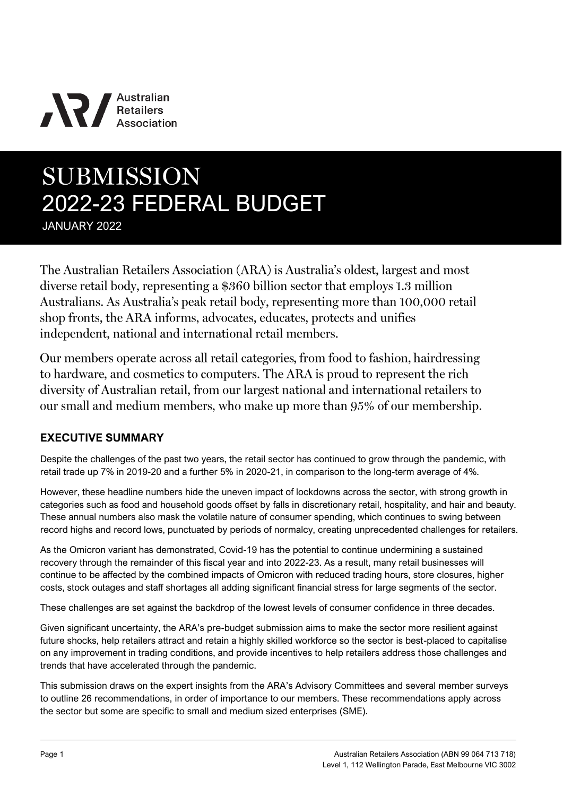# **NV** Australian

# **SUBMISSION** 2022-23 FEDERAL BUDGET

JANUARY 2022

The Australian Retailers Association (ARA) is Australia's oldest, largest and most diverse retail body, representing a \$360 billion sector that employs 1.3 million Australians. As Australia's peak retail body, representing more than 100,000 retail shop fronts, the ARA informs, advocates, educates, protects and unifies independent, national and international retail members.

Our members operate across all retail categories, from food to fashion, hairdressing to hardware, and cosmetics to computers. The ARA is proud to represent the rich diversity of Australian retail, from our largest national and international retailers to our small and medium members, who make up more than 95% of our membership.

# **EXECUTIVE SUMMARY**

Despite the challenges of the past two years, the retail sector has continued to grow through the pandemic, with retail trade up 7% in 2019-20 and a further 5% in 2020-21, in comparison to the long-term average of 4%.

However, these headline numbers hide the uneven impact of lockdowns across the sector, with strong growth in categories such as food and household goods offset by falls in discretionary retail, hospitality, and hair and beauty. These annual numbers also mask the volatile nature of consumer spending, which continues to swing between record highs and record lows, punctuated by periods of normalcy, creating unprecedented challenges for retailers.

As the Omicron variant has demonstrated, Covid-19 has the potential to continue undermining a sustained recovery through the remainder of this fiscal year and into 2022-23. As a result, many retail businesses will continue to be affected by the combined impacts of Omicron with reduced trading hours, store closures, higher costs, stock outages and staff shortages all adding significant financial stress for large segments of the sector.

These challenges are set against the backdrop of the lowest levels of consumer confidence in three decades.

Given significant uncertainty, the ARA's pre-budget submission aims to make the sector more resilient against future shocks, help retailers attract and retain a highly skilled workforce so the sector is best-placed to capitalise on any improvement in trading conditions, and provide incentives to help retailers address those challenges and trends that have accelerated through the pandemic.

This submission draws on the expert insights from the ARA's Advisory Committees and several member surveys to outline 26 recommendations, in order of importance to our members. These recommendations apply across the sector but some are specific to small and medium sized enterprises (SME).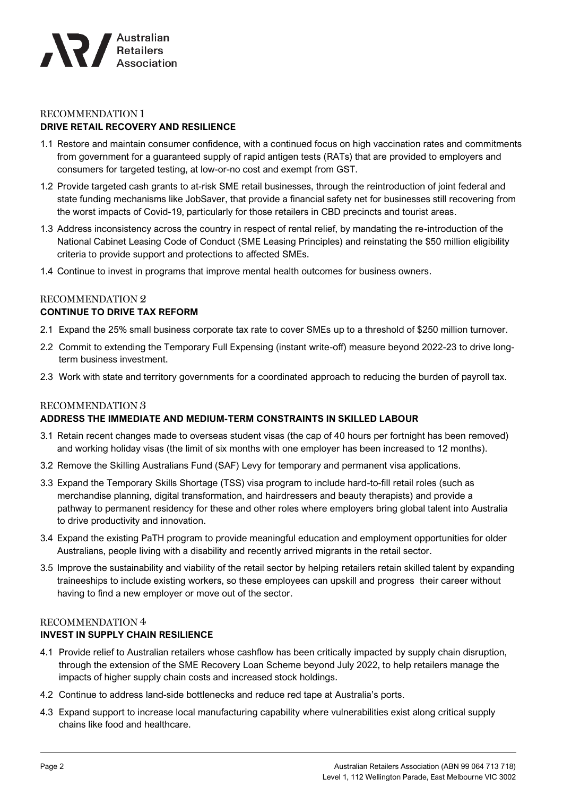

#### **RECOMMENDATION 1**

#### **DRIVE RETAIL RECOVERY AND RESILIENCE**

- 1.1 Restore and maintain consumer confidence, with a continued focus on high vaccination rates and commitments from government for a guaranteed supply of rapid antigen tests (RATs) that are provided to employers and consumers for targeted testing, at low-or-no cost and exempt from GST.
- 1.2 Provide targeted cash grants to at-risk SME retail businesses, through the reintroduction of joint federal and state funding mechanisms like JobSaver, that provide a financial safety net for businesses still recovering from the worst impacts of Covid-19, particularly for those retailers in CBD precincts and tourist areas.
- 1.3 Address inconsistency across the country in respect of rental relief, by mandating the re-introduction of the National Cabinet Leasing Code of Conduct (SME Leasing Principles) and reinstating the \$50 million eligibility criteria to provide support and protections to affected SMEs.
- 1.4 Continue to invest in programs that improve mental health outcomes for business owners.

#### **RECOMMENDATION 2 CONTINUE TO DRIVE TAX REFORM**

- 2.1 Expand the 25% small business corporate tax rate to cover SMEs up to a threshold of \$250 million turnover.
- 2.2 Commit to extending the Temporary Full Expensing (instant write-off) measure beyond 2022-23 to drive longterm business investment.
- 2.3 Work with state and territory governments for a coordinated approach to reducing the burden of payroll tax.

#### **RECOMMENDATION 3 ADDRESS THE IMMEDIATE AND MEDIUM-TERM CONSTRAINTS IN SKILLED LABOUR**

- 3.1 Retain recent changes made to overseas student visas (the cap of 40 hours per fortnight has been removed) and working holiday visas (the limit of six months with one employer has been increased to 12 months).
- 3.2 Remove the Skilling Australians Fund (SAF) Levy for temporary and permanent visa applications.
- 3.3 Expand the Temporary Skills Shortage (TSS) visa program to include hard-to-fill retail roles (such as merchandise planning, digital transformation, and hairdressers and beauty therapists) and provide a pathway to permanent residency for these and other roles where employers bring global talent into Australia to drive productivity and innovation.
- 3.4 Expand the existing PaTH program to provide meaningful education and employment opportunities for older Australians, people living with a disability and recently arrived migrants in the retail sector.
- 3.5 Improve the sustainability and viability of the retail sector by helping retailers retain skilled talent by expanding traineeships to include existing workers, so these employees can upskill and progress their career without having to find a new employer or move out of the sector.

#### **RECOMMENDATION 4**

#### **INVEST IN SUPPLY CHAIN RESILIENCE**

- 4.1 Provide relief to Australian retailers whose cashflow has been critically impacted by supply chain disruption, through the extension of the SME Recovery Loan Scheme beyond July 2022, to help retailers manage the impacts of higher supply chain costs and increased stock holdings.
- 4.2 Continue to address land-side bottlenecks and reduce red tape at Australia's ports.
- 4.3 Expand support to increase local manufacturing capability where vulnerabilities exist along critical supply chains like food and healthcare.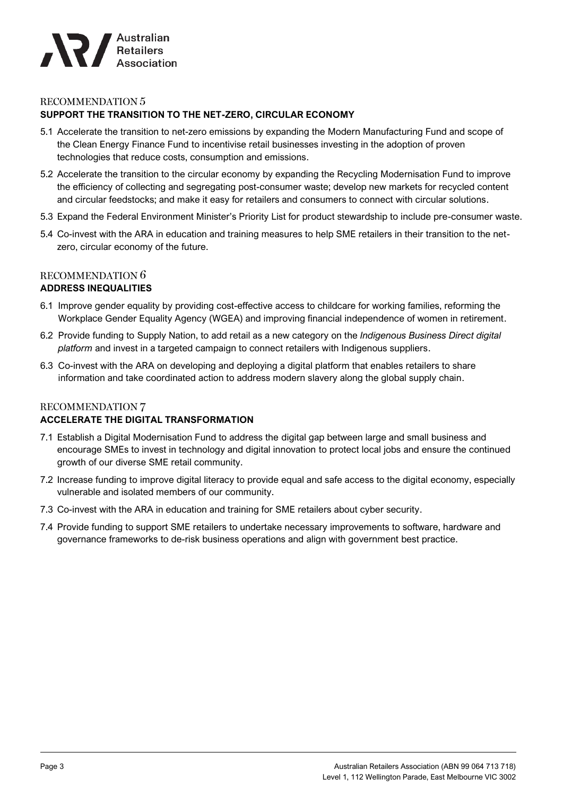

#### **RECOMMENDATION 5 SUPPORT THE TRANSITION TO THE NET-ZERO, CIRCULAR ECONOMY**

- 5.1 Accelerate the transition to net-zero emissions by expanding the Modern Manufacturing Fund and scope of the Clean Energy Finance Fund to incentivise retail businesses investing in the adoption of proven technologies that reduce costs, consumption and emissions.
- 5.2 Accelerate the transition to the circular economy by expanding the Recycling Modernisation Fund to improve the efficiency of collecting and segregating post-consumer waste; develop new markets for recycled content and circular feedstocks; and make it easy for retailers and consumers to connect with circular solutions.
- 5.3 Expand the Federal Environment Minister's Priority List for product stewardship to include pre-consumer waste.
- 5.4 Co-invest with the ARA in education and training measures to help SME retailers in their transition to the netzero, circular economy of the future.

# RECOMMENDATION 6

#### **ADDRESS INEQUALITIES**

- 6.1 Improve gender equality by providing cost-effective access to childcare for working families, reforming the Workplace Gender Equality Agency (WGEA) and improving financial independence of women in retirement.
- 6.2 Provide funding to Supply Nation, to add retail as a new category on the *Indigenous Business Direct digital platform* and invest in a targeted campaign to connect retailers with Indigenous suppliers.
- 6.3 Co-invest with the ARA on developing and deploying a digital platform that enables retailers to share information and take coordinated action to address modern slavery along the global supply chain.

# **RECOMMENDATION 7**

### **ACCELERATE THE DIGITAL TRANSFORMATION**

- 7.1 Establish a Digital Modernisation Fund to address the digital gap between large and small business and encourage SMEs to invest in technology and digital innovation to protect local jobs and ensure the continued growth of our diverse SME retail community.
- 7.2 Increase funding to improve digital literacy to provide equal and safe access to the digital economy, especially vulnerable and isolated members of our community.
- 7.3 Co-invest with the ARA in education and training for SME retailers about cyber security.
- 7.4 Provide funding to support SME retailers to undertake necessary improvements to software, hardware and governance frameworks to de-risk business operations and align with government best practice.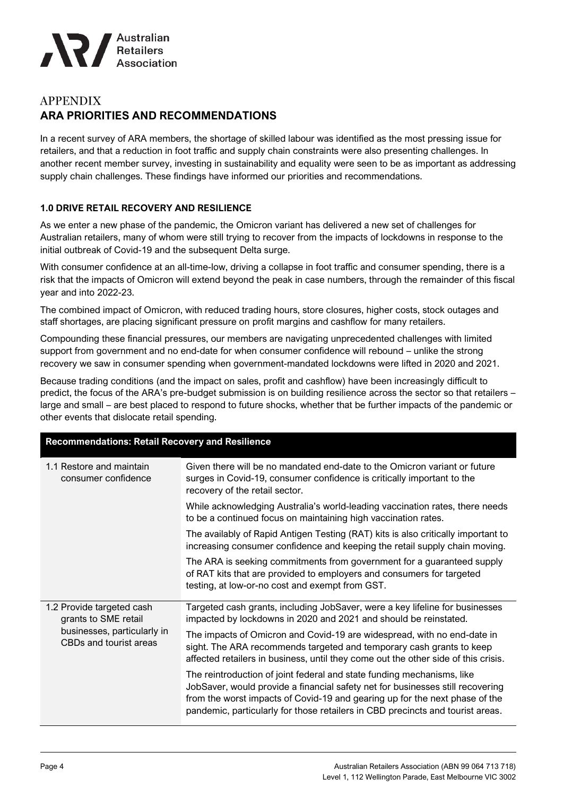

# **APPENDIX ARA PRIORITIES AND RECOMMENDATIONS**

In a recent survey of ARA members, the shortage of skilled labour was identified as the most pressing issue for retailers, and that a reduction in foot traffic and supply chain constraints were also presenting challenges. In another recent member survey, investing in sustainability and equality were seen to be as important as addressing supply chain challenges. These findings have informed our priorities and recommendations.

#### **1.0 DRIVE RETAIL RECOVERY AND RESILIENCE**

As we enter a new phase of the pandemic, the Omicron variant has delivered a new set of challenges for Australian retailers, many of whom were still trying to recover from the impacts of lockdowns in response to the initial outbreak of Covid-19 and the subsequent Delta surge.

With consumer confidence at an all-time-low, driving a collapse in foot traffic and consumer spending, there is a risk that the impacts of Omicron will extend beyond the peak in case numbers, through the remainder of this fiscal year and into 2022-23.

The combined impact of Omicron, with reduced trading hours, store closures, higher costs, stock outages and staff shortages, are placing significant pressure on profit margins and cashflow for many retailers.

Compounding these financial pressures, our members are navigating unprecedented challenges with limited support from government and no end-date for when consumer confidence will rebound – unlike the strong recovery we saw in consumer spending when government-mandated lockdowns were lifted in 2020 and 2021.

Because trading conditions (and the impact on sales, profit and cashflow) have been increasingly difficult to predict, the focus of the ARA's pre-budget submission is on building resilience across the sector so that retailers – large and small – are best placed to respond to future shocks, whether that be further impacts of the pandemic or other events that dislocate retail spending.

| <b>Recommendations: Retail Recovery and Resilience</b>                                                     |                                                                                                                                                                                                                                                                                                                           |  |
|------------------------------------------------------------------------------------------------------------|---------------------------------------------------------------------------------------------------------------------------------------------------------------------------------------------------------------------------------------------------------------------------------------------------------------------------|--|
| 1.1 Restore and maintain<br>consumer confidence                                                            | Given there will be no mandated end-date to the Omicron variant or future<br>surges in Covid-19, consumer confidence is critically important to the<br>recovery of the retail sector.                                                                                                                                     |  |
|                                                                                                            | While acknowledging Australia's world-leading vaccination rates, there needs<br>to be a continued focus on maintaining high vaccination rates.                                                                                                                                                                            |  |
|                                                                                                            | The availably of Rapid Antigen Testing (RAT) kits is also critically important to<br>increasing consumer confidence and keeping the retail supply chain moving.                                                                                                                                                           |  |
|                                                                                                            | The ARA is seeking commitments from government for a guaranteed supply<br>of RAT kits that are provided to employers and consumers for targeted<br>testing, at low-or-no cost and exempt from GST.                                                                                                                        |  |
| 1.2 Provide targeted cash<br>grants to SME retail<br>businesses, particularly in<br>CBDs and tourist areas | Targeted cash grants, including JobSaver, were a key lifeline for businesses<br>impacted by lockdowns in 2020 and 2021 and should be reinstated.                                                                                                                                                                          |  |
|                                                                                                            | The impacts of Omicron and Covid-19 are widespread, with no end-date in<br>sight. The ARA recommends targeted and temporary cash grants to keep<br>affected retailers in business, until they come out the other side of this crisis.                                                                                     |  |
|                                                                                                            | The reintroduction of joint federal and state funding mechanisms, like<br>JobSaver, would provide a financial safety net for businesses still recovering<br>from the worst impacts of Covid-19 and gearing up for the next phase of the<br>pandemic, particularly for those retailers in CBD precincts and tourist areas. |  |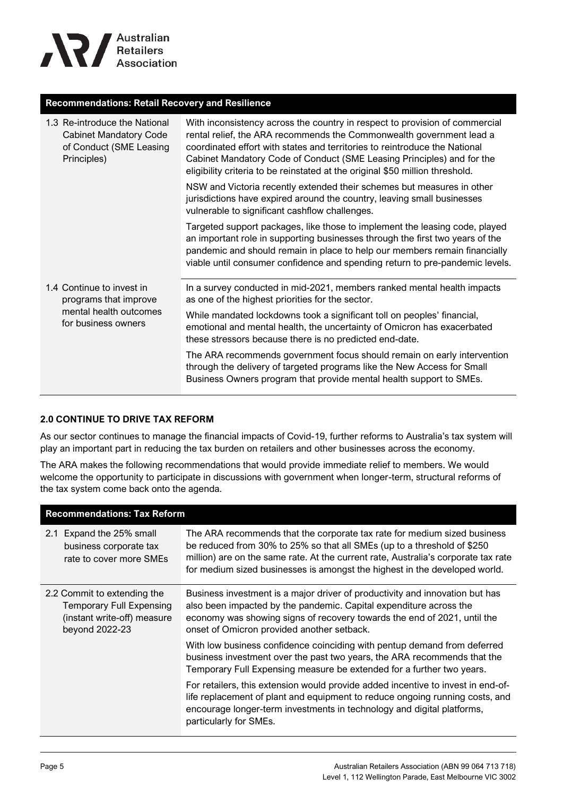

#### **Recommendations: Retail Recovery and Resilience**

| 1.3 Re-introduce the National<br><b>Cabinet Mandatory Code</b><br>of Conduct (SME Leasing<br>Principles) | With inconsistency across the country in respect to provision of commercial<br>rental relief, the ARA recommends the Commonwealth government lead a<br>coordinated effort with states and territories to reintroduce the National<br>Cabinet Mandatory Code of Conduct (SME Leasing Principles) and for the<br>eligibility criteria to be reinstated at the original \$50 million threshold. |
|----------------------------------------------------------------------------------------------------------|----------------------------------------------------------------------------------------------------------------------------------------------------------------------------------------------------------------------------------------------------------------------------------------------------------------------------------------------------------------------------------------------|
|                                                                                                          | NSW and Victoria recently extended their schemes but measures in other<br>jurisdictions have expired around the country, leaving small businesses<br>vulnerable to significant cashflow challenges.                                                                                                                                                                                          |
|                                                                                                          | Targeted support packages, like those to implement the leasing code, played<br>an important role in supporting businesses through the first two years of the<br>pandemic and should remain in place to help our members remain financially<br>viable until consumer confidence and spending return to pre-pandemic levels.                                                                   |
| 1.4 Continue to invest in<br>programs that improve<br>mental health outcomes<br>for business owners      | In a survey conducted in mid-2021, members ranked mental health impacts<br>as one of the highest priorities for the sector.                                                                                                                                                                                                                                                                  |
|                                                                                                          | While mandated lockdowns took a significant toll on peoples' financial,<br>emotional and mental health, the uncertainty of Omicron has exacerbated<br>these stressors because there is no predicted end-date.                                                                                                                                                                                |
|                                                                                                          | The ARA recommends government focus should remain on early intervention<br>through the delivery of targeted programs like the New Access for Small<br>Business Owners program that provide mental health support to SMEs.                                                                                                                                                                    |

#### **2.0 CONTINUE TO DRIVE TAX REFORM**

As our sector continues to manage the financial impacts of Covid-19, further reforms to Australia's tax system will play an important part in reducing the tax burden on retailers and other businesses across the economy.

The ARA makes the following recommendations that would provide immediate relief to members. We would welcome the opportunity to participate in discussions with government when longer-term, structural reforms of the tax system come back onto the agenda.

| <b>Recommendations: Tax Reform</b>                                                                              |                                                                                                                                                                                                                                                                                                                         |  |
|-----------------------------------------------------------------------------------------------------------------|-------------------------------------------------------------------------------------------------------------------------------------------------------------------------------------------------------------------------------------------------------------------------------------------------------------------------|--|
| 2.1 Expand the 25% small<br>business corporate tax<br>rate to cover more SMEs                                   | The ARA recommends that the corporate tax rate for medium sized business<br>be reduced from 30% to 25% so that all SMEs (up to a threshold of \$250<br>million) are on the same rate. At the current rate, Australia's corporate tax rate<br>for medium sized businesses is amongst the highest in the developed world. |  |
| 2.2 Commit to extending the<br><b>Temporary Full Expensing</b><br>(instant write-off) measure<br>beyond 2022-23 | Business investment is a major driver of productivity and innovation but has<br>also been impacted by the pandemic. Capital expenditure across the<br>economy was showing signs of recovery towards the end of 2021, until the<br>onset of Omicron provided another setback.                                            |  |
|                                                                                                                 | With low business confidence coinciding with pentup demand from deferred<br>business investment over the past two years, the ARA recommends that the<br>Temporary Full Expensing measure be extended for a further two years.                                                                                           |  |
|                                                                                                                 | For retailers, this extension would provide added incentive to invest in end-of-<br>life replacement of plant and equipment to reduce ongoing running costs, and<br>encourage longer-term investments in technology and digital platforms,<br>particularly for SMEs.                                                    |  |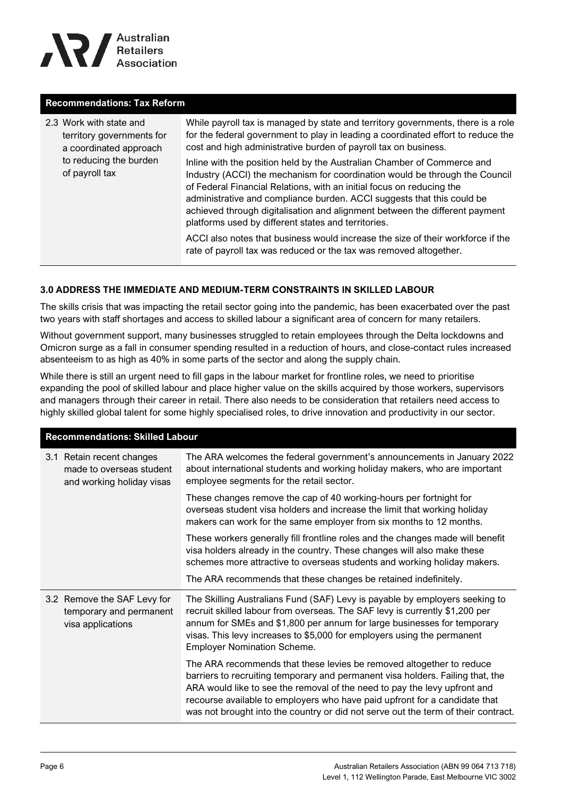

#### **Recommendations: Tax Reform**

| 2.3 Work with state and<br>territory governments for<br>a coordinated approach | While payroll tax is managed by state and territory governments, there is a role<br>for the federal government to play in leading a coordinated effort to reduce the<br>cost and high administrative burden of payroll tax on business.                                                                                                                                                                                                         |
|--------------------------------------------------------------------------------|-------------------------------------------------------------------------------------------------------------------------------------------------------------------------------------------------------------------------------------------------------------------------------------------------------------------------------------------------------------------------------------------------------------------------------------------------|
| to reducing the burden<br>of payroll tax                                       | Inline with the position held by the Australian Chamber of Commerce and<br>Industry (ACCI) the mechanism for coordination would be through the Council<br>of Federal Financial Relations, with an initial focus on reducing the<br>administrative and compliance burden. ACCI suggests that this could be<br>achieved through digitalisation and alignment between the different payment<br>platforms used by different states and territories. |
|                                                                                | ACCI also notes that business would increase the size of their workforce if the<br>rate of payroll tax was reduced or the tax was removed altogether.                                                                                                                                                                                                                                                                                           |

#### **3.0 ADDRESS THE IMMEDIATE AND MEDIUM-TERM CONSTRAINTS IN SKILLED LABOUR**

The skills crisis that was impacting the retail sector going into the pandemic, has been exacerbated over the past two years with staff shortages and access to skilled labour a significant area of concern for many retailers.

Without government support, many businesses struggled to retain employees through the Delta lockdowns and Omicron surge as a fall in consumer spending resulted in a reduction of hours, and close-contact rules increased absenteeism to as high as 40% in some parts of the sector and along the supply chain.

While there is still an urgent need to fill gaps in the labour market for frontline roles, we need to prioritise expanding the pool of skilled labour and place higher value on the skills acquired by those workers, supervisors and managers through their career in retail. There also needs to be consideration that retailers need access to highly skilled global talent for some highly specialised roles, to drive innovation and productivity in our sector.

| <b>Recommendations: Skilled Labour</b>                                             |                                                                                                                                                                                                                                                                                                                                                                                                        |  |
|------------------------------------------------------------------------------------|--------------------------------------------------------------------------------------------------------------------------------------------------------------------------------------------------------------------------------------------------------------------------------------------------------------------------------------------------------------------------------------------------------|--|
| 3.1 Retain recent changes<br>made to overseas student<br>and working holiday visas | The ARA welcomes the federal government's announcements in January 2022<br>about international students and working holiday makers, who are important<br>employee segments for the retail sector.                                                                                                                                                                                                      |  |
|                                                                                    | These changes remove the cap of 40 working-hours per fortnight for<br>overseas student visa holders and increase the limit that working holiday<br>makers can work for the same employer from six months to 12 months.                                                                                                                                                                                 |  |
|                                                                                    | These workers generally fill frontline roles and the changes made will benefit<br>visa holders already in the country. These changes will also make these<br>schemes more attractive to overseas students and working holiday makers.                                                                                                                                                                  |  |
|                                                                                    | The ARA recommends that these changes be retained indefinitely.                                                                                                                                                                                                                                                                                                                                        |  |
| 3.2 Remove the SAF Levy for<br>temporary and permanent<br>visa applications        | The Skilling Australians Fund (SAF) Levy is payable by employers seeking to<br>recruit skilled labour from overseas. The SAF levy is currently \$1,200 per<br>annum for SMEs and \$1,800 per annum for large businesses for temporary<br>visas. This levy increases to \$5,000 for employers using the permanent<br><b>Employer Nomination Scheme.</b>                                                 |  |
|                                                                                    | The ARA recommends that these levies be removed altogether to reduce<br>barriers to recruiting temporary and permanent visa holders. Failing that, the<br>ARA would like to see the removal of the need to pay the levy upfront and<br>recourse available to employers who have paid upfront for a candidate that<br>was not brought into the country or did not serve out the term of their contract. |  |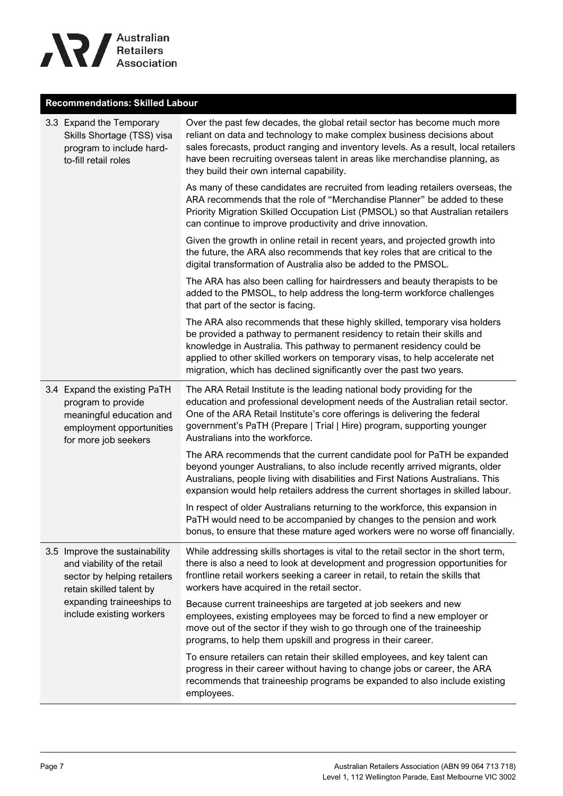

# **Recommendations: Skilled Labour**

|  | 3.3 Expand the Temporary<br>Skills Shortage (TSS) visa<br>program to include hard-<br>to-fill retail roles                         | Over the past few decades, the global retail sector has become much more<br>reliant on data and technology to make complex business decisions about<br>sales forecasts, product ranging and inventory levels. As a result, local retailers<br>have been recruiting overseas talent in areas like merchandise planning, as<br>they build their own internal capability.              |
|--|------------------------------------------------------------------------------------------------------------------------------------|-------------------------------------------------------------------------------------------------------------------------------------------------------------------------------------------------------------------------------------------------------------------------------------------------------------------------------------------------------------------------------------|
|  |                                                                                                                                    | As many of these candidates are recruited from leading retailers overseas, the<br>ARA recommends that the role of "Merchandise Planner" be added to these<br>Priority Migration Skilled Occupation List (PMSOL) so that Australian retailers<br>can continue to improve productivity and drive innovation.                                                                          |
|  |                                                                                                                                    | Given the growth in online retail in recent years, and projected growth into<br>the future, the ARA also recommends that key roles that are critical to the<br>digital transformation of Australia also be added to the PMSOL.                                                                                                                                                      |
|  |                                                                                                                                    | The ARA has also been calling for hairdressers and beauty therapists to be<br>added to the PMSOL, to help address the long-term workforce challenges<br>that part of the sector is facing.                                                                                                                                                                                          |
|  |                                                                                                                                    | The ARA also recommends that these highly skilled, temporary visa holders<br>be provided a pathway to permanent residency to retain their skills and<br>knowledge in Australia. This pathway to permanent residency could be<br>applied to other skilled workers on temporary visas, to help accelerate net<br>migration, which has declined significantly over the past two years. |
|  | 3.4 Expand the existing PaTH<br>program to provide<br>meaningful education and<br>employment opportunities<br>for more job seekers | The ARA Retail Institute is the leading national body providing for the<br>education and professional development needs of the Australian retail sector.<br>One of the ARA Retail Institute's core offerings is delivering the federal<br>government's PaTH (Prepare   Trial   Hire) program, supporting younger<br>Australians into the workforce.                                 |
|  |                                                                                                                                    | The ARA recommends that the current candidate pool for PaTH be expanded<br>beyond younger Australians, to also include recently arrived migrants, older<br>Australians, people living with disabilities and First Nations Australians. This<br>expansion would help retailers address the current shortages in skilled labour.                                                      |
|  |                                                                                                                                    | In respect of older Australians returning to the workforce, this expansion in<br>PaTH would need to be accompanied by changes to the pension and work<br>bonus, to ensure that these mature aged workers were no worse off financially.                                                                                                                                             |
|  | 3.5 Improve the sustainability<br>and viability of the retail<br>sector by helping retailers<br>retain skilled talent by           | While addressing skills shortages is vital to the retail sector in the short term,<br>there is also a need to look at development and progression opportunities for<br>frontline retail workers seeking a career in retail, to retain the skills that<br>workers have acquired in the retail sector.                                                                                |
|  | expanding traineeships to<br>include existing workers                                                                              | Because current traineeships are targeted at job seekers and new<br>employees, existing employees may be forced to find a new employer or<br>move out of the sector if they wish to go through one of the traineeship<br>programs, to help them upskill and progress in their career.                                                                                               |
|  |                                                                                                                                    | To ensure retailers can retain their skilled employees, and key talent can<br>progress in their career without having to change jobs or career, the ARA<br>recommends that traineeship programs be expanded to also include existing<br>employees.                                                                                                                                  |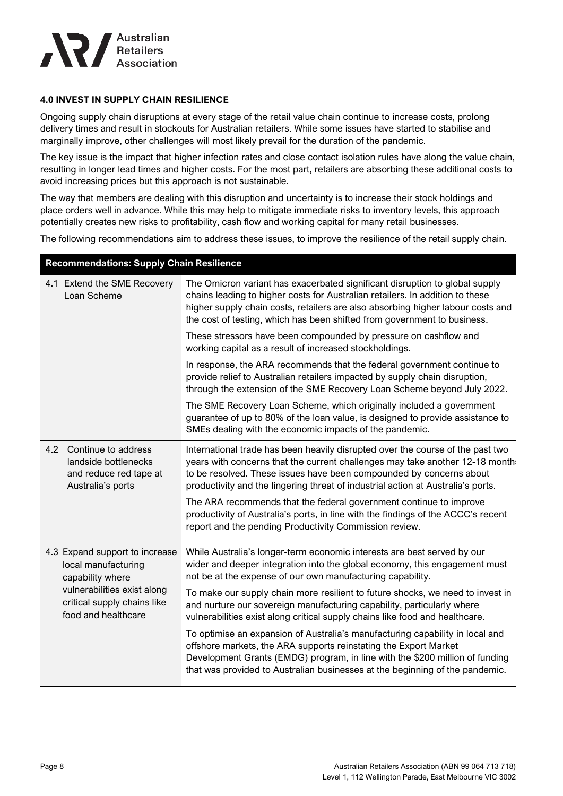

#### **4.0 INVEST IN SUPPLY CHAIN RESILIENCE**

**Recommendations: Supply Chain Resilience**

Ongoing supply chain disruptions at every stage of the retail value chain continue to increase costs, prolong delivery times and result in stockouts for Australian retailers. While some issues have started to stabilise and marginally improve, other challenges will most likely prevail for the duration of the pandemic.

The key issue is the impact that higher infection rates and close contact isolation rules have along the value chain, resulting in longer lead times and higher costs. For the most part, retailers are absorbing these additional costs to avoid increasing prices but this approach is not sustainable.

The way that members are dealing with this disruption and uncertainty is to increase their stock holdings and place orders well in advance. While this may help to mitigate immediate risks to inventory levels, this approach potentially creates new risks to profitability, cash flow and working capital for many retail businesses.

The following recommendations aim to address these issues, to improve the resilience of the retail supply chain.

| Recommendations: Supply Chain Resilience                                                                                                                       |                                                                                            |                                                                                                                                                                                                                                                                                                                             |
|----------------------------------------------------------------------------------------------------------------------------------------------------------------|--------------------------------------------------------------------------------------------|-----------------------------------------------------------------------------------------------------------------------------------------------------------------------------------------------------------------------------------------------------------------------------------------------------------------------------|
|                                                                                                                                                                | 4.1 Extend the SME Recovery<br>Loan Scheme                                                 | The Omicron variant has exacerbated significant disruption to global supply<br>chains leading to higher costs for Australian retailers. In addition to these<br>higher supply chain costs, retailers are also absorbing higher labour costs and<br>the cost of testing, which has been shifted from government to business. |
|                                                                                                                                                                |                                                                                            | These stressors have been compounded by pressure on cashflow and<br>working capital as a result of increased stockholdings.                                                                                                                                                                                                 |
|                                                                                                                                                                |                                                                                            | In response, the ARA recommends that the federal government continue to<br>provide relief to Australian retailers impacted by supply chain disruption,<br>through the extension of the SME Recovery Loan Scheme beyond July 2022.                                                                                           |
|                                                                                                                                                                |                                                                                            | The SME Recovery Loan Scheme, which originally included a government<br>guarantee of up to 80% of the loan value, is designed to provide assistance to<br>SMEs dealing with the economic impacts of the pandemic.                                                                                                           |
| 4.2                                                                                                                                                            | Continue to address<br>landside bottlenecks<br>and reduce red tape at<br>Australia's ports | International trade has been heavily disrupted over the course of the past two<br>years with concerns that the current challenges may take another 12-18 month:<br>to be resolved. These issues have been compounded by concerns about<br>productivity and the lingering threat of industrial action at Australia's ports.  |
|                                                                                                                                                                |                                                                                            | The ARA recommends that the federal government continue to improve<br>productivity of Australia's ports, in line with the findings of the ACCC's recent<br>report and the pending Productivity Commission review.                                                                                                           |
| 4.3 Expand support to increase<br>local manufacturing<br>capability where<br>vulnerabilities exist along<br>critical supply chains like<br>food and healthcare |                                                                                            | While Australia's longer-term economic interests are best served by our<br>wider and deeper integration into the global economy, this engagement must<br>not be at the expense of our own manufacturing capability.                                                                                                         |
|                                                                                                                                                                |                                                                                            | To make our supply chain more resilient to future shocks, we need to invest in<br>and nurture our sovereign manufacturing capability, particularly where<br>vulnerabilities exist along critical supply chains like food and healthcare.                                                                                    |
|                                                                                                                                                                |                                                                                            | To optimise an expansion of Australia's manufacturing capability in local and<br>offshore markets, the ARA supports reinstating the Export Market<br>Development Grants (EMDG) program, in line with the \$200 million of funding<br>that was provided to Australian businesses at the beginning of the pandemic.           |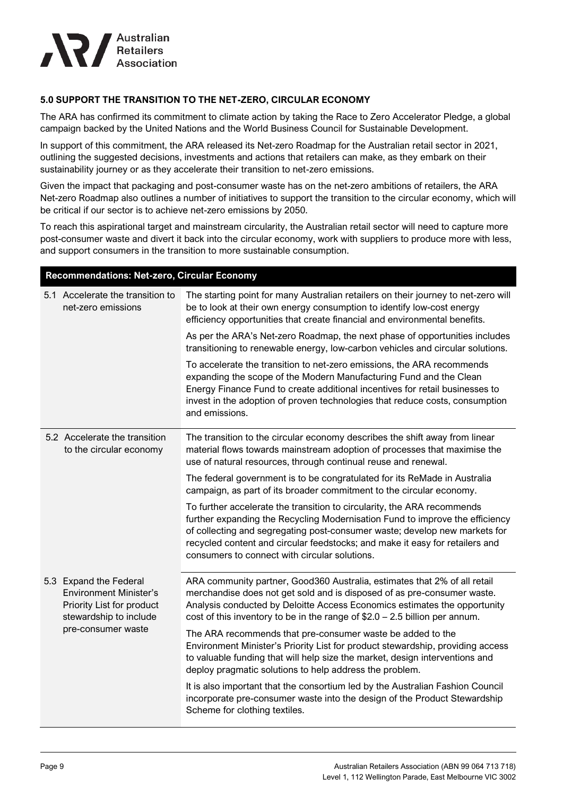

#### **5.0 SUPPORT THE TRANSITION TO THE NET-ZERO, CIRCULAR ECONOMY**

The ARA has confirmed its commitment to climate action by taking the Race to Zero Accelerator Pledge, a global campaign backed by the United Nations and the World Business Council for Sustainable Development.

In support of this commitment, the ARA released its Net-zero [Roadmap](https://blog.retail.org.au/hubfs/ARA%20Climate%20Action%20-%20NetZero%20Roadmap.pdf) for the Australian retail sector in 2021, outlining the suggested decisions, investments and actions that retailers can make, as they embark on their sustainability journey or as they accelerate their transition to net-zero emissions.

Given the impact that packaging and post-consumer waste has on the net-zero ambitions of retailers, the ARA Net-zero Roadmap also outlines a number of initiatives to support the transition to the circular economy, which will be critical if our sector is to achieve net-zero emissions by 2050.

To reach this aspirational target and mainstream circularity, the Australian retail sector will need to capture more post-consumer waste and divert it back into the circular economy, work with suppliers to produce more with less, and support consumers in the transition to more sustainable consumption.

#### **Recommendations: Net-zero, Circular Economy**

|  | 5.1 Accelerate the transition to<br>net-zero emissions                                                                               | The starting point for many Australian retailers on their journey to net-zero will<br>be to look at their own energy consumption to identify low-cost energy<br>efficiency opportunities that create financial and environmental benefits.                                                                                                                             |
|--|--------------------------------------------------------------------------------------------------------------------------------------|------------------------------------------------------------------------------------------------------------------------------------------------------------------------------------------------------------------------------------------------------------------------------------------------------------------------------------------------------------------------|
|  |                                                                                                                                      | As per the ARA's Net-zero Roadmap, the next phase of opportunities includes<br>transitioning to renewable energy, low-carbon vehicles and circular solutions.                                                                                                                                                                                                          |
|  |                                                                                                                                      | To accelerate the transition to net-zero emissions, the ARA recommends<br>expanding the scope of the Modern Manufacturing Fund and the Clean<br>Energy Finance Fund to create additional incentives for retail businesses to<br>invest in the adoption of proven technologies that reduce costs, consumption<br>and emissions.                                         |
|  | 5.2 Accelerate the transition<br>to the circular economy                                                                             | The transition to the circular economy describes the shift away from linear<br>material flows towards mainstream adoption of processes that maximise the<br>use of natural resources, through continual reuse and renewal.                                                                                                                                             |
|  |                                                                                                                                      | The federal government is to be congratulated for its ReMade in Australia<br>campaign, as part of its broader commitment to the circular economy.                                                                                                                                                                                                                      |
|  |                                                                                                                                      | To further accelerate the transition to circularity, the ARA recommends<br>further expanding the Recycling Modernisation Fund to improve the efficiency<br>of collecting and segregating post-consumer waste; develop new markets for<br>recycled content and circular feedstocks; and make it easy for retailers and<br>consumers to connect with circular solutions. |
|  | 5.3 Expand the Federal<br><b>Environment Minister's</b><br>Priority List for product<br>stewardship to include<br>pre-consumer waste | ARA community partner, Good360 Australia, estimates that 2% of all retail<br>merchandise does not get sold and is disposed of as pre-consumer waste.<br>Analysis conducted by Deloitte Access Economics estimates the opportunity<br>cost of this inventory to be in the range of $$2.0 - 2.5$ billion per annum.                                                      |
|  |                                                                                                                                      | The ARA recommends that pre-consumer waste be added to the<br>Environment Minister's Priority List for product stewardship, providing access<br>to valuable funding that will help size the market, design interventions and<br>deploy pragmatic solutions to help address the problem.                                                                                |
|  |                                                                                                                                      | It is also important that the consortium led by the Australian Fashion Council<br>incorporate pre-consumer waste into the design of the Product Stewardship<br>Scheme for clothing textiles.                                                                                                                                                                           |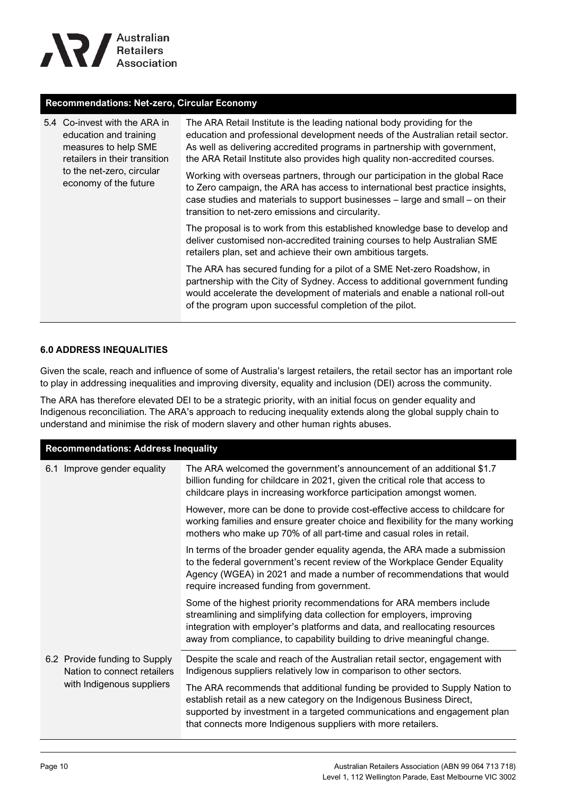

#### **Recommendations: Net-zero, Circular Economy**

| 5.4 Co-invest with the ARA in<br>education and training<br>measures to help SME<br>retailers in their transition | The ARA Retail Institute is the leading national body providing for the<br>education and professional development needs of the Australian retail sector.<br>As well as delivering accredited programs in partnership with government,<br>the ARA Retail Institute also provides high quality non-accredited courses. |
|------------------------------------------------------------------------------------------------------------------|----------------------------------------------------------------------------------------------------------------------------------------------------------------------------------------------------------------------------------------------------------------------------------------------------------------------|
| to the net-zero, circular<br>economy of the future                                                               | Working with overseas partners, through our participation in the global Race<br>to Zero campaign, the ARA has access to international best practice insights,<br>case studies and materials to support businesses - large and small - on their<br>transition to net-zero emissions and circularity.                  |
|                                                                                                                  | The proposal is to work from this established knowledge base to develop and<br>deliver customised non-accredited training courses to help Australian SME<br>retailers plan, set and achieve their own ambitious targets.                                                                                             |
|                                                                                                                  | The ARA has secured funding for a pilot of a SME Net-zero Roadshow, in<br>partnership with the City of Sydney. Access to additional government funding<br>would accelerate the development of materials and enable a national roll-out<br>of the program upon successful completion of the pilot.                    |

#### **6.0 ADDRESS INEQUALITIES**

Given the scale, reach and influence of some of Australia's largest retailers, the retail sector has an important role to play in addressing inequalities and improving diversity, equality and inclusion (DEI) across the community.

The ARA has therefore elevated DEI to be a strategic priority, with an initial focus on gender equality and Indigenous reconciliation. The ARA's approach to reducing inequality extends along the global supply chain to understand and minimise the risk of modern slavery and other human rights abuses.

| <b>Recommendations: Address Inequality</b>                   |                                                                                                                                                                                                                                                                                                         |  |
|--------------------------------------------------------------|---------------------------------------------------------------------------------------------------------------------------------------------------------------------------------------------------------------------------------------------------------------------------------------------------------|--|
| 6.1 Improve gender equality                                  | The ARA welcomed the government's announcement of an additional \$1.7<br>billion funding for childcare in 2021, given the critical role that access to<br>childcare plays in increasing workforce participation amongst women.                                                                          |  |
|                                                              | However, more can be done to provide cost-effective access to childcare for<br>working families and ensure greater choice and flexibility for the many working<br>mothers who make up 70% of all part-time and casual roles in retail.                                                                  |  |
|                                                              | In terms of the broader gender equality agenda, the ARA made a submission<br>to the federal government's recent review of the Workplace Gender Equality<br>Agency (WGEA) in 2021 and made a number of recommendations that would<br>require increased funding from government.                          |  |
|                                                              | Some of the highest priority recommendations for ARA members include<br>streamlining and simplifying data collection for employers, improving<br>integration with employer's platforms and data, and reallocating resources<br>away from compliance, to capability building to drive meaningful change. |  |
| 6.2 Provide funding to Supply<br>Nation to connect retailers | Despite the scale and reach of the Australian retail sector, engagement with<br>Indigenous suppliers relatively low in comparison to other sectors.                                                                                                                                                     |  |
| with Indigenous suppliers                                    | The ARA recommends that additional funding be provided to Supply Nation to<br>establish retail as a new category on the Indigenous Business Direct,<br>supported by investment in a targeted communications and engagement plan<br>that connects more Indigenous suppliers with more retailers.         |  |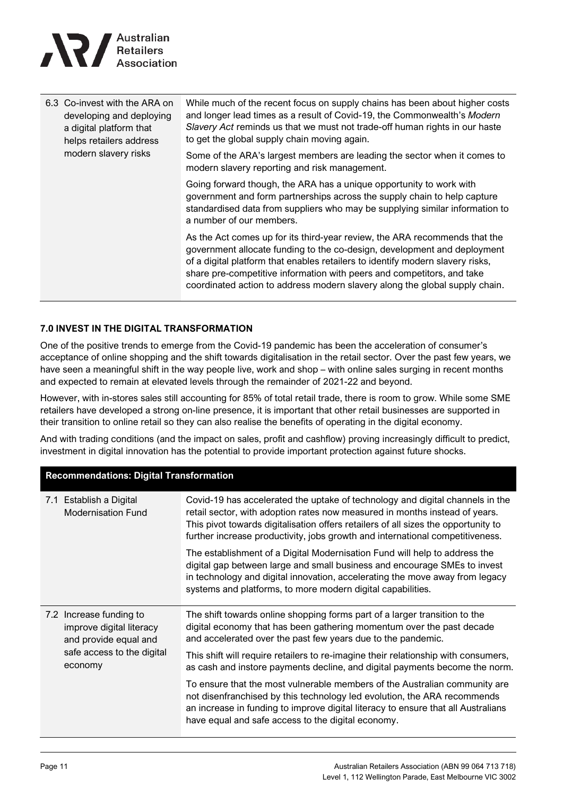

| 6.3 Co-invest with the ARA on<br>developing and deploying<br>a digital platform that<br>helps retailers address | While much of the recent focus on supply chains has been about higher costs<br>and longer lead times as a result of Covid-19, the Commonwealth's Modern<br>Slavery Act reminds us that we must not trade-off human rights in our haste<br>to get the global supply chain moving again.                                                                                                            |
|-----------------------------------------------------------------------------------------------------------------|---------------------------------------------------------------------------------------------------------------------------------------------------------------------------------------------------------------------------------------------------------------------------------------------------------------------------------------------------------------------------------------------------|
| modern slavery risks                                                                                            | Some of the ARA's largest members are leading the sector when it comes to<br>modern slavery reporting and risk management.                                                                                                                                                                                                                                                                        |
|                                                                                                                 | Going forward though, the ARA has a unique opportunity to work with<br>government and form partnerships across the supply chain to help capture<br>standardised data from suppliers who may be supplying similar information to<br>a number of our members.                                                                                                                                       |
|                                                                                                                 | As the Act comes up for its third-year review, the ARA recommends that the<br>government allocate funding to the co-design, development and deployment<br>of a digital platform that enables retailers to identify modern slavery risks,<br>share pre-competitive information with peers and competitors, and take<br>coordinated action to address modern slavery along the global supply chain. |

#### **7.0 INVEST IN THE DIGITAL TRANSFORMATION**

One of the positive trends to emerge from the Covid-19 pandemic has been the acceleration of consumer's acceptance of online shopping and the shift towards digitalisation in the retail sector. Over the past few years, we have seen a meaningful shift in the way people live, work and shop – with online sales surging in recent months and expected to remain at elevated levels through the remainder of 2021-22 and beyond.

However, with in-stores sales still accounting for 85% of total retail trade, there is room to grow. While some SME retailers have developed a strong on-line presence, it is important that other retail businesses are supported in their transition to online retail so they can also realise the benefits of operating in the digital economy.

And with trading conditions (and the impact on sales, profit and cashflow) proving increasingly difficult to predict, investment in digital innovation has the potential to provide important protection against future shocks.

| <b>Recommendations: Digital Transformation</b>                               |                                                                                                                                                                                                                                                                                                                                     |  |
|------------------------------------------------------------------------------|-------------------------------------------------------------------------------------------------------------------------------------------------------------------------------------------------------------------------------------------------------------------------------------------------------------------------------------|--|
| 7.1 Establish a Digital<br><b>Modernisation Fund</b>                         | Covid-19 has accelerated the uptake of technology and digital channels in the<br>retail sector, with adoption rates now measured in months instead of years.<br>This pivot towards digitalisation offers retailers of all sizes the opportunity to<br>further increase productivity, jobs growth and international competitiveness. |  |
|                                                                              | The establishment of a Digital Modernisation Fund will help to address the<br>digital gap between large and small business and encourage SMEs to invest<br>in technology and digital innovation, accelerating the move away from legacy<br>systems and platforms, to more modern digital capabilities.                              |  |
| 7.2 Increase funding to<br>improve digital literacy<br>and provide equal and | The shift towards online shopping forms part of a larger transition to the<br>digital economy that has been gathering momentum over the past decade<br>and accelerated over the past few years due to the pandemic.                                                                                                                 |  |
| safe access to the digital<br>economy                                        | This shift will require retailers to re-imagine their relationship with consumers,<br>as cash and instore payments decline, and digital payments become the norm.                                                                                                                                                                   |  |
|                                                                              | To ensure that the most vulnerable members of the Australian community are<br>not disenfranchised by this technology led evolution, the ARA recommends<br>an increase in funding to improve digital literacy to ensure that all Australians<br>have equal and safe access to the digital economy.                                   |  |